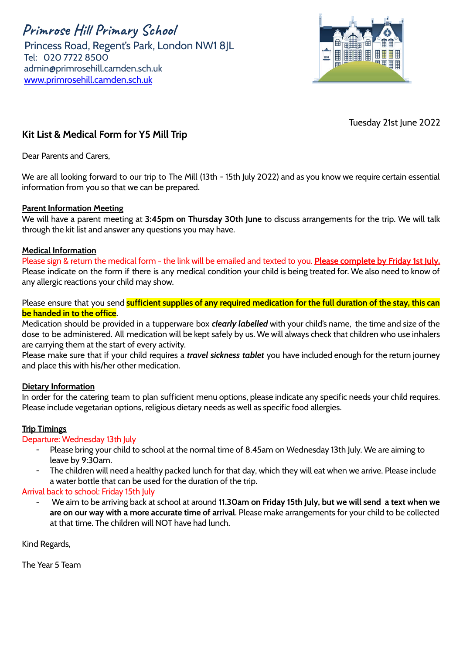**Primrose Hill Primary School** Princess Road, Regent's Park, London NW1 8JL Tel: 020 7722 8500 [admin@primrosehill.camden.sch.uk](mailto:admin@primrosehill.camden.sch.uk) [www.primrosehill.camden.sch.uk](http://www.primrosehill.camden.sch.uk)



Tuesday 21st June 2022

## **Kit List & Medical Form for Y5 Mill Trip**

Dear Parents and Carers,

We are all looking forward to our trip to The Mill (13th - 15th July 2022) and as you know we require certain essential information from you so that we can be prepared.

### **Parent Information Meeting**

We will have a parent meeting at **3:45pm on Thursday 30th June** to discuss arrangements for the trip. We will talk through the kit list and answer any questions you may have.

### **Medical Information**

Please sign & return the medical form - the link will be emailed and texted to you. **Please complete by Friday 1st July.** Please indicate on the form if there is any medical condition your child is being treated for. We also need to know of any allergic reactions your child may show.

Please ensure that you send **sufficient supplies of any required medication for the full duration of the stay, this can be handed in to the office**.

Medication should be provided in a tupperware box *clearly labelled* with your child's name, the time and size of the dose to be administered. All medication will be kept safely by us. We will always check that children who use inhalers are carrying them at the start of every activity.

Please make sure that if your child requires a *travel sickness tablet* you have included enough for the return journey and place this with his/her other medication.

### **Dietary Information**

In order for the catering team to plan sufficient menu options, please indicate any specific needs your child requires. Please include vegetarian options, religious dietary needs as well as specific food allergies.

### **Trip Timings**

### Departure: Wednesday 13th July

- Please bring your child to school at the normal time of 8.45am on Wednesday 13th July. We are aiming to leave by 9:30am.
- The children will need a healthy packed lunch for that day, which they will eat when we arrive. Please include a water bottle that can be used for the duration of the trip.

### Arrival back to school: Friday 15th July

- We aim to be arriving back at school at around **11.30am on Friday 15th July, but we will send a text when we are on our way with a more accurate time of arrival**. Please make arrangements for your child to be collected at that time. The children will NOT have had lunch.

Kind Regards,

The Year 5 Team